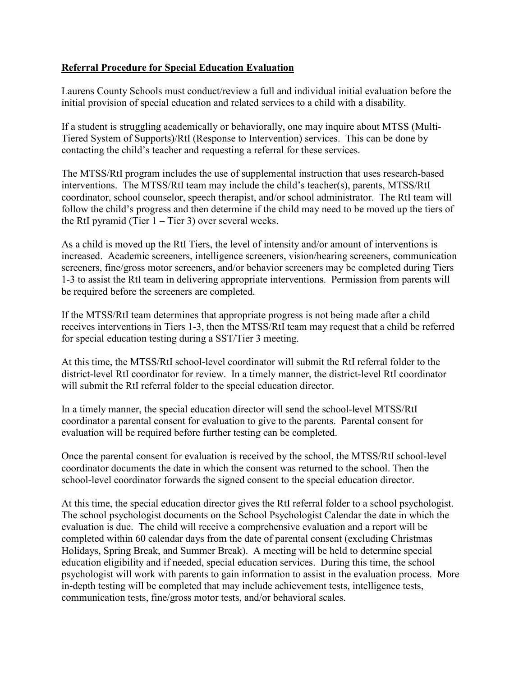## **Referral Procedure for Special Education Evaluation**

Laurens County Schools must conduct/review a full and individual initial evaluation before the initial provision of special education and related services to a child with a disability.

If a student is struggling academically or behaviorally, one may inquire about MTSS (Multi-Tiered System of Supports)/RtI (Response to Intervention) services. This can be done by contacting the child's teacher and requesting a referral for these services.

The MTSS/RtI program includes the use of supplemental instruction that uses research-based interventions. The MTSS/RtI team may include the child's teacher(s), parents, MTSS/RtI coordinator, school counselor, speech therapist, and/or school administrator. The RtI team will follow the child's progress and then determine if the child may need to be moved up the tiers of the RtI pyramid (Tier  $1 -$ Tier 3) over several weeks.

As a child is moved up the RtI Tiers, the level of intensity and/or amount of interventions is increased. Academic screeners, intelligence screeners, vision/hearing screeners, communication screeners, fine/gross motor screeners, and/or behavior screeners may be completed during Tiers 1-3 to assist the RtI team in delivering appropriate interventions. Permission from parents will be required before the screeners are completed.

If the MTSS/RtI team determines that appropriate progress is not being made after a child receives interventions in Tiers 1-3, then the MTSS/RtI team may request that a child be referred for special education testing during a SST/Tier 3 meeting.

At this time, the MTSS/RtI school-level coordinator will submit the RtI referral folder to the district-level RtI coordinator for review. In a timely manner, the district-level RtI coordinator will submit the RtI referral folder to the special education director.

In a timely manner, the special education director will send the school-level MTSS/RtI coordinator a parental consent for evaluation to give to the parents. Parental consent for evaluation will be required before further testing can be completed.

Once the parental consent for evaluation is received by the school, the MTSS/RtI school-level coordinator documents the date in which the consent was returned to the school. Then the school-level coordinator forwards the signed consent to the special education director.

At this time, the special education director gives the RtI referral folder to a school psychologist. The school psychologist documents on the School Psychologist Calendar the date in which the evaluation is due. The child will receive a comprehensive evaluation and a report will be completed within 60 calendar days from the date of parental consent (excluding Christmas Holidays, Spring Break, and Summer Break). A meeting will be held to determine special education eligibility and if needed, special education services. During this time, the school psychologist will work with parents to gain information to assist in the evaluation process. More in-depth testing will be completed that may include achievement tests, intelligence tests, communication tests, fine/gross motor tests, and/or behavioral scales.